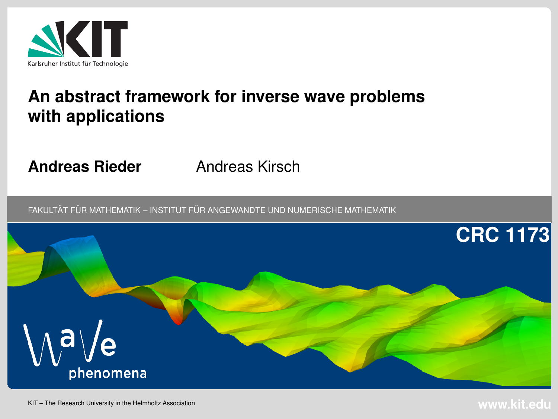

### **An abstract framework for inverse wave problemswith applications**

**Andreas Rieder**

Andreas Kirsch

 $\tt{FAKULTÄT}$  FÜR MATHEMATIK – INSTITUT FÜR ANGEWANDTE UND NUMERISCHE MATHEMATIK

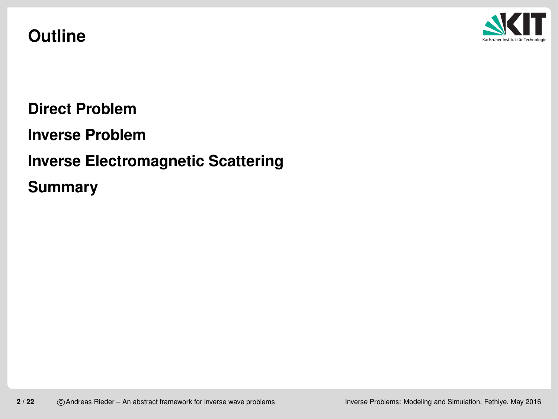#### **Outline**



**Direct [Problem](#page-2-0)**

**Inverse [Problem](#page-9-0)**

**Inverse [Electromagnetic](#page-14-0) Scattering**

**[Summary](#page-20-0)**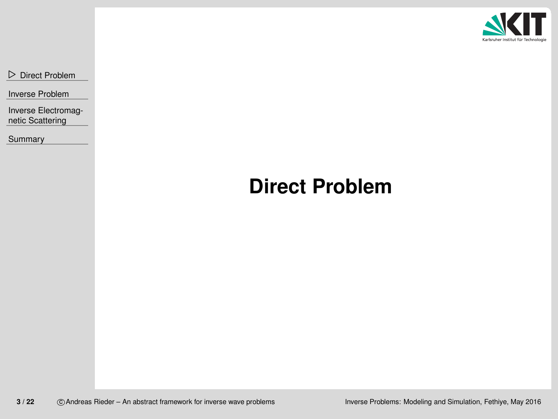

<span id="page-2-0"></span>⊲ Direct [Problem](#page-2-0)

Inverse [Problem](#page-9-0)

Inverse [Electromag](#page-14-0)netic Scattering

[Summary](#page-20-0)

## **Direct Problem**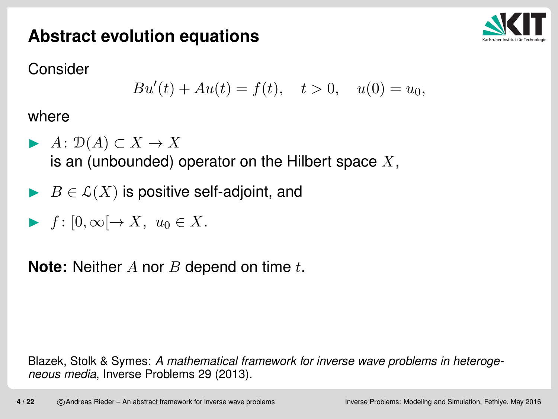### **Abstract evolution equations**



Consider

$$
Bu'(t) + Au(t) = f(t), \quad t > 0, \quad u(0) = u_0,
$$

where

- $\blacktriangleright$   $A: D(A) \subset X \to X$ is an (unbounded) operator on the Hilbert space  $X,$
- $\blacktriangleright\;\;B\in\mathcal{L}(X)$  is positive self-adjoint, and
- $f\colon [0,\infty[\to X,\,\,u_0\in X].$

 $\textsf{Note: } \textsf{Neither}\; A \textsf{ nor } B \textsf{ depend on time } t.$ 

Blazek, Stolk & Symes: *A mathematical framework for inverse wave problems in heterogeneous media*, Inverse Problems 29 (2013).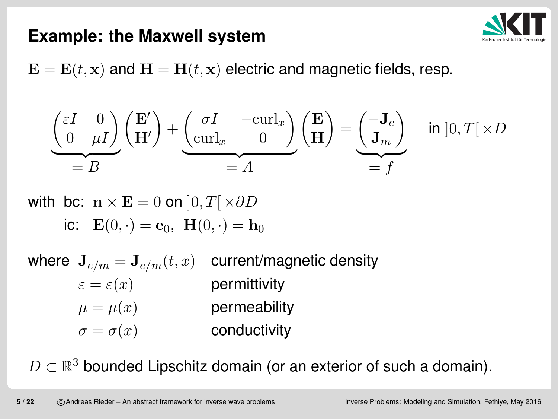

#### **Example: the Maxwell system**

 $\mathbf{E}=\mathbf{E}(t,\mathbf{x})$  and  $\mathbf{H}=\mathbf{H}(t,\mathbf{x})$  electric and magnetic fields, resp.

$$
\underbrace{\begin{pmatrix} \varepsilon I & 0 \\ 0 & \mu I \end{pmatrix} \begin{pmatrix} \mathbf{E}' \\ \mathbf{H}' \end{pmatrix}}_{=B} + \underbrace{\begin{pmatrix} \sigma I & -\text{curl}_x \\ \text{curl}_x & 0 \end{pmatrix} \begin{pmatrix} \mathbf{E} \\ \mathbf{H} \end{pmatrix}}_{=A} = \underbrace{\begin{pmatrix} -\mathbf{J}_e \\ \mathbf{J}_m \end{pmatrix}}_{=f} \quad \text{in } ]0, T[ \times D ]_{=f}
$$

with bc:  $\mathbf{n} \times \mathbf{E} = 0$  on  $]0, T[ \times \partial D$ ic:  $\mathbf{E}(0, \cdot) = \mathbf{e}_0$ ,  $\mathbf{H}(0, \cdot) = \mathbf{h}_0$ 

where  $\mathbf{J}_{e/m}=\mathbf{J}_{e/m}(t, x)$  $\varepsilon=\varepsilon(x)$  current/magnetic density $\mu=\mu(x)$  permittivity $\sigma=\sigma(x)$  permeabilityconductivity

 $D\subset\mathbb{R}^3$  bounded Lipschitz domain (or an exterior of such a domain).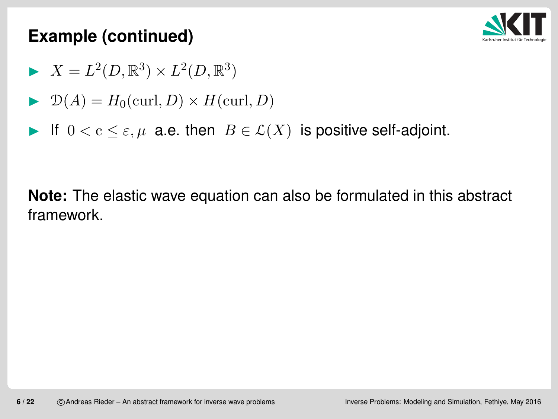

#### **Example (continued)**

- $\blacktriangleright X = L^2(D, \mathbb{R}^3) \times L^2(D, \mathbb{R}^3)$
- $\blacktriangleright$   $\mathcal{D}(A) = H_0(\text{curl}, D) \times H(\text{curl}, D)$
- If  $0 < c \leq \varepsilon$ ,  $\mu$  a.e. then  $B \in \mathcal{L}(X)$  is positive self-adjoint.

**Note:** The elastic wave equation can also be formulated in this abstract framework.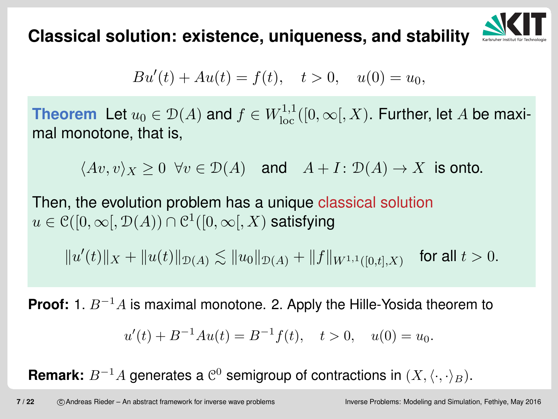**Classical solution: existence, uniqueness, and stability**



$$
Bu'(t) + Au(t) = f(t), \quad t > 0, \quad u(0) = u_0,
$$

**Theorem** Let  $u_0 \in \mathcal{D}(A)$  and  $f \in W^{1,1}_{loc}([0,\infty[, X)$ . Further, let A be maxi- $+h$ mal monotone, that is,

 $\langle Av, v \rangle_X \geq 0 \ \ \forall v \in \mathcal{D}(A) \quad \text{and} \quad A + I \colon \mathcal{D}(A) \to X \ \ \text{is onto}.$ 

Then, the evolution problem has <sup>a</sup> unique classical solution  $u\in\mathcal{C}([0,\infty[,\mathcal{D}(A))\cap\mathcal{C}^{1}([0,\infty[, X)$  satisfying

 $\| u$ ′  $\|f(t)\|_X+\|u(t)\|_{\mathcal{D}(A)} \lesssim \|u_0\|_{\mathcal{D}(A)} +\|f\|_{W^{1,1}([0,t],X)}$  $_{\rm )}$  for all  $t>0.$ 

**Proof:** 1.  $B^{-1}$  $^1A$  is maximal monotone. 2. Apply the Hille-Yosida theorem to

$$
u'(t) + B^{-1}Au(t) = B^{-1}f(t), \quad t > 0, \quad u(0) = u_0.
$$

**Remark:**  $B^{-1}$  $^1A$  generates a  $\mathcal{C}^0$  semigroup of contractions in  $(X,\langle\cdot,\cdot\rangle_B).$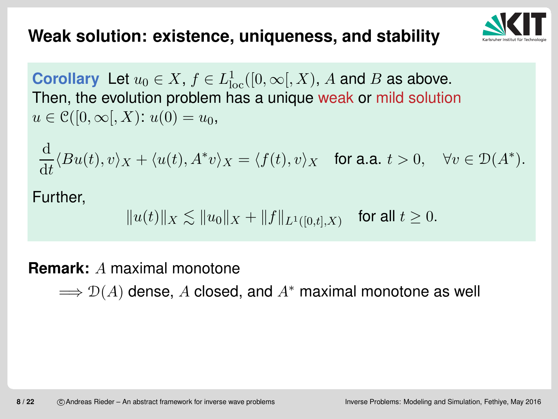### **Weak solution: existence, uniqueness, and stability**



**Corollary** Let  $u_0 \in X$ ,  $f \in L^1_{\mathrm{loc}}$  Then, the evolution problem has <sup>a</sup> unique weak or mild solution $\frac{1}{\log}([0,\infty[, X), A$  and  $B$  as above.  $u\in \mathcal{C}([0,\infty \mathcal{N}); u(0) =u_0,$ 

$$
\frac{\mathrm{d}}{\mathrm{d}t} \langle Bu(t), v \rangle_X + \langle u(t), A^*v \rangle_X = \langle f(t), v \rangle_X \quad \text{for a.a. } t > 0, \quad \forall v \in \mathcal{D}(A^*).
$$

Further,

 $\|u(t)\|_X\lesssim\|u_0\|_X+\|f\|_{L^1([0,t],X)}$  $_{\rm })$  for all  $t\geq0.$ 

# **Remark:**A maximal monotone

 $\Longrightarrow \mathcal{D}(A)$  dense,  $A$  closed, and  $A^*$  maximal monotone as well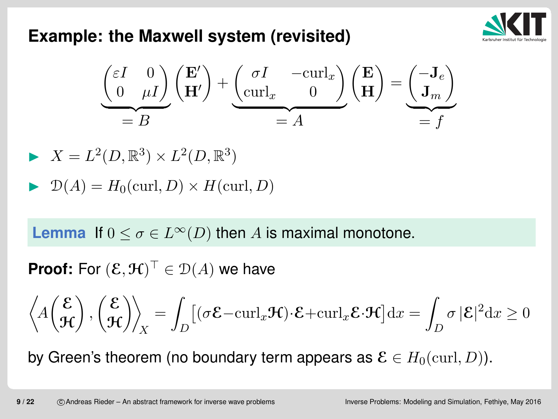#### **Example: the Maxwell system (revisited)**



$$
\underbrace{\begin{pmatrix} \varepsilon I & 0 \\ 0 & \mu I \end{pmatrix} \begin{pmatrix} \mathbf{E}' \\ \mathbf{H}' \end{pmatrix}}_{= B} + \underbrace{\begin{pmatrix} \sigma I & -\text{curl}_x \\ \text{curl}_x & 0 \end{pmatrix} \begin{pmatrix} \mathbf{E} \\ \mathbf{H} \end{pmatrix}}_{= A} = \underbrace{\begin{pmatrix} -\mathbf{J}_e \\ \mathbf{J}_m \end{pmatrix}}_{= f}
$$

$$
\blacktriangleright X = L^2(D,\mathbb{R}^3) \times L^2(D,\mathbb{R}^3)
$$

$$
\blacktriangleright \mathcal{D}(A) = H_0(\text{curl}, D) \times H(\text{curl}, D)
$$

**Lemma** If  $0 \le \sigma \in L^{\infty}(D)$  then A is maximal monotone.

**Proof:** For  $(\mathcal{E},\mathcal{H})^{\top}\in\mathcal{D}(A)$  we have

$$
\left\langle A\left(\frac{\mathcal{E}}{\mathcal{H}}\right), \left(\frac{\mathcal{E}}{\mathcal{H}}\right) \right\rangle_X = \int_D \left[ (\sigma \mathcal{E} - \mathrm{curl}_x \mathcal{H}) \cdot \mathcal{E} + \mathrm{curl}_x \mathcal{E} \cdot \mathcal{H} \right] \mathrm{d}x = \int_D \sigma |\mathcal{E}|^2 \mathrm{d}x \ge 0
$$

by Green's theorem (no boundary term appears as  $\mathcal{E}\in H_0(\text{curl} ,D)).$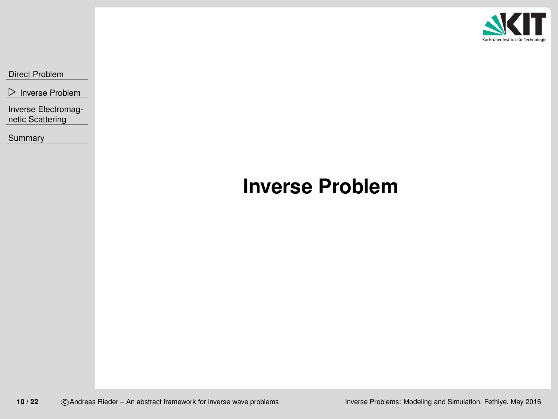

<span id="page-9-0"></span>Direct [Problem](#page-2-0)

⊲ Inverse [Problem](#page-9-0)

Inverse [Electromag](#page-14-0)netic Scattering

**[Summary](#page-20-0)** 

## **Inverse Problem**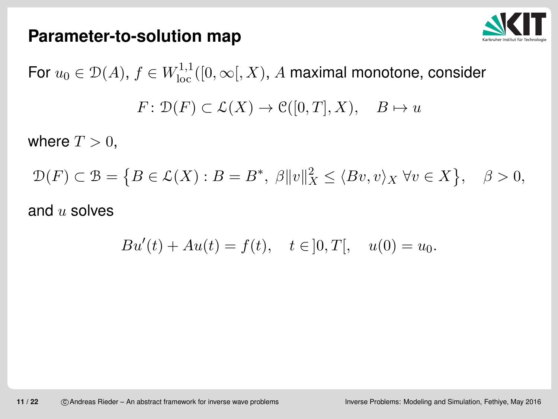

#### **Parameter-to-solution map**

For  $u_0\in{\mathcal D}(A),$   $f\in W^{1,1}_{\rm loc}([0,\infty[, X),$   $A$  maximal monotone, consider  $F: \mathcal{D}(F) \subset \mathcal{L}(X) \to \mathcal{C}([0,T], X), \quad B \mapsto u$ 

where  $T > 0$ ,

$$
\mathcal{D}(F) \subset \mathcal{B} = \left\{ B \in \mathcal{L}(X) : B = B^*, \ \beta \|v\|_X^2 \le \langle Bv, v \rangle_X \ \forall v \in X \right\}, \quad \beta > 0,
$$

### and  $u$  solves

$$
Bu'(t) + Au(t) = f(t), \quad t \in ]0, T[, \quad u(0) = u_0.
$$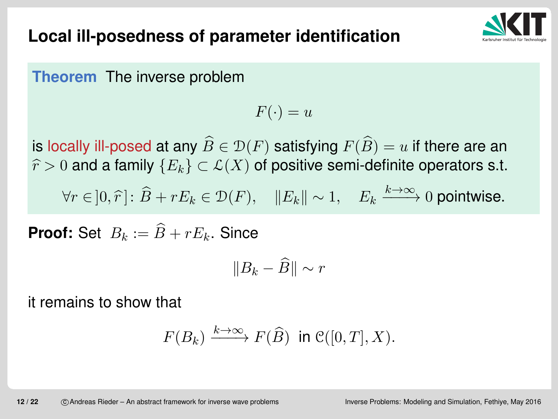### **Local ill-posedness of parameter identification**



**Theorem** The inverse problem

$$
F(\cdot)=u
$$

is locally ill-posed at any  $\widehat{B}\in\mathcal{D}(F)$  satisfying  $F(\widehat{B})=$  $\cdot$   $\cdot$  $\mathbf{y} = \mathbf{y}$  and  $\mathbf{y} = \mathbf{y}$  and  $\mathbf{y} = \mathbf{y}$  and  $\mathbf{y} = \mathbf{y}$  $\widehat{r}>0$  and a family  $\{E_{k}\}\subset\mathcal{L}(X)$  of positive semi-definite operators s.t.  $u$  if there are an  $\forall r \in ]0, \hat{r}]: \hat{B} + rE_k \in \mathcal{D}(F), \quad ||E_k|| \sim 1, \quad E_k$  $k{\rightarrow}\infty$  $\overrightarrow{h\rightarrow\infty}0$  pointwise.

**Proof:** Set  $B_k :=$  $\widehat{B}+rE_{k}.$  Since

$$
||B_k - \widehat{B}|| \sim r
$$

it remains to show that

$$
F(B_k) \xrightarrow{k \to \infty} F(\widehat{B}) \text{ in } \mathcal{C}([0,T],X).
$$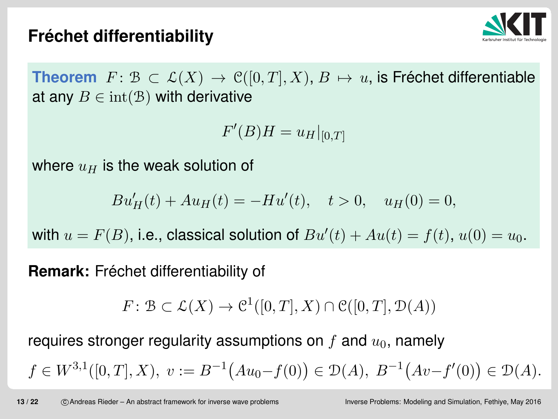# **Frechet differentiability ´**



**Theorem**  $F: \mathcal{B} \subset \mathcal{L}(X) \to \mathcal{C}([0,T],X), B \mapsto u$ , is Fréchet differentiable<br>at any  $B \in \text{int}(\mathcal{B})$  with derivative at any  $B \in \text{int}(\mathcal{B})$  with derivative

$$
F'(B)H = u_H|_{[0,T]}
$$

where  $u_H$  is the weak solution of

$$
Bu'_H(t) + Au_H(t) = -Hu'(t), \quad t > 0, \quad u_H(0) = 0,
$$

with  $u = F(B)$ , i.e., classical solution of  $Bu'(t) + Au(t) = f(t)$ ,  $u(0) = u_0$ .

**Remark:** Fréchet differentiability of

 $F: \mathcal{B} \subset \mathcal{L}(X) \to \mathcal{C}^1([0,T],X) \cap \mathcal{C}([0,T],\mathcal{D}(A))$ 

requires stronger regularity assumptions on  $f$  and  $u_0$ , namely

 $f \in W^{3,1}([0,T],X), v := B^{-1}(Au_0 - f(0)) \in \mathcal{D}(A), B^{-1}(Av - f'(0)) \in \mathcal{D}(A).$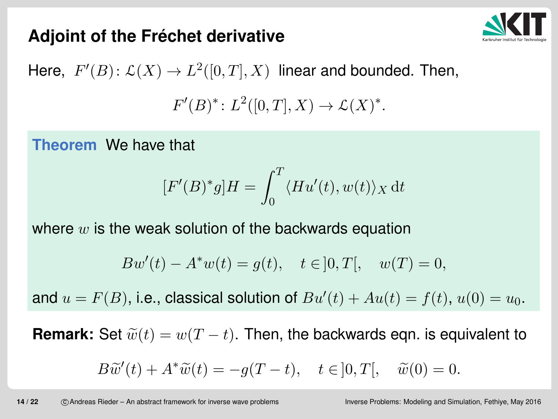# **Adjoint of the Frechet derivative ´**



Here,  $F'(B) \colon \mathcal{L}(X) \to L^2([0,T],X)$  linear and bounded. Then,  $F'(B)^*: L^2([0,T],X) \to \mathcal{L}(X)^*.$ 

**Theorem** We have that

$$
[F'(B)^*g]H = \int_0^T \langle Hu'(t), w(t) \rangle_X dt
$$

where  $w$  is the weak solution of the backwards equation

$$
Bw'(t) - A^*w(t) = g(t), \quad t \in ]0, T[, \quad w(T) = 0,
$$

and  $u = F(B)$ , i.e., classical solution of  $Bu'(t) + Au(t) = f(t)$ ,  $u(0) = u_0$ .

**Remark:** Set  $\widetilde{w}(t) = w(T-t)$ . Then, the backwards eqn. is equivalent to

$$
B\widetilde{w}'(t) + A^*\widetilde{w}(t) = -g(T-t), \quad t \in ]0, T[, \quad \widetilde{w}(0) = 0.
$$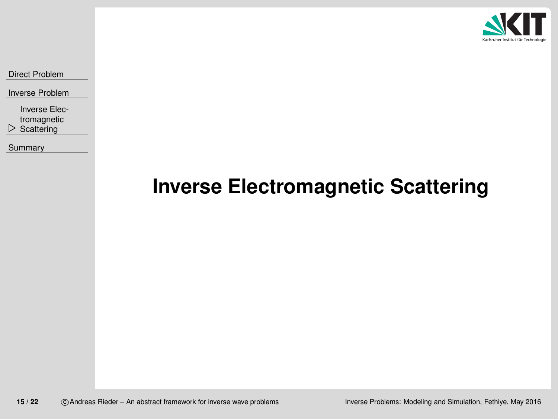

<span id="page-14-0"></span>Direct [Problem](#page-2-0)

Inverse [Problem](#page-9-0)

**▷ Scattering** Inverse Elec[tromagnetic](#page-14-0)

[Summary](#page-20-0)

## **Inverse Electromagnetic Scattering**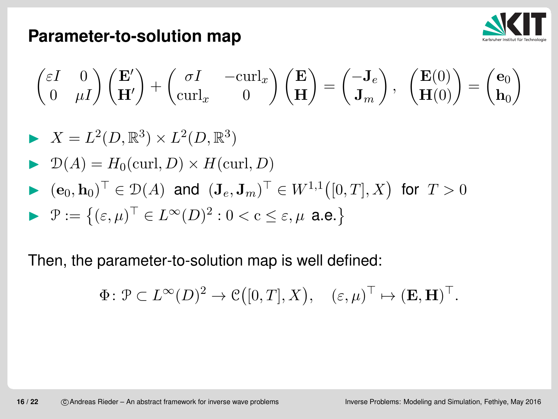

#### **Parameter-to-solution map**

$$
\begin{pmatrix} \varepsilon I & 0 \\ 0 & \mu I \end{pmatrix} \begin{pmatrix} \mathbf{E}' \\ \mathbf{H}' \end{pmatrix} + \begin{pmatrix} \sigma I & -\operatorname{curl}_x \\ \operatorname{curl}_x & 0 \end{pmatrix} \begin{pmatrix} \mathbf{E} \\ \mathbf{H} \end{pmatrix} = \begin{pmatrix} -\mathbf{J}_e \\ \mathbf{J}_m \end{pmatrix}, \quad \begin{pmatrix} \mathbf{E}(0) \\ \mathbf{H}(0) \end{pmatrix} = \begin{pmatrix} \mathbf{e}_0 \\ \mathbf{h}_0 \end{pmatrix}
$$

$$
\blacktriangleright X = L^2(D, \mathbb{R}^3) \times L^2(D, \mathbb{R}^3)
$$

$$
\blacktriangleright \mathcal{D}(A) = H_0(\text{curl}, D) \times H(\text{curl}, D)
$$

$$
\blacktriangleright \ (\mathbf{e}_0, \mathbf{h}_0)^\top \in \mathcal{D}(A) \text{ and } (\mathbf{J}_e, \mathbf{J}_m)^\top \in W^{1,1}([0,T],X) \text{ for } T > 0
$$

$$
\blacktriangleright \mathcal{P} := \left\{ (\varepsilon, \mu)^{\top} \in L^{\infty}(D)^2 : 0 < c \leq \varepsilon, \mu \text{ a.e.} \right\}
$$

Then, the parameter-to-solution map is well defined:

$$
\Phi\colon \mathcal{P}\subset L^\infty(D)^2\to \mathcal{C}\big([0,T],X\big),\quad (\varepsilon,\mu)^\top\mapsto (\mathbf{E},\mathbf{H})^\top.
$$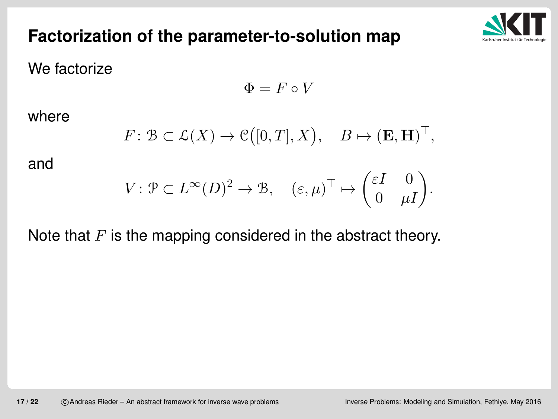### **Factorization of the parameter-to-solution map**



We factorize

$$
\Phi=F\circ V
$$

where

$$
F: \mathcal{B} \subset \mathcal{L}(X) \to \mathcal{C}([0,T], X), \quad B \mapsto (\mathbf{E}, \mathbf{H})^{\top},
$$

and

$$
V \colon \mathcal{P} \subset L^{\infty}(D)^2 \to \mathcal{B}, \quad (\varepsilon, \mu)^{\top} \mapsto \begin{pmatrix} \varepsilon I & 0 \\ 0 & \mu I \end{pmatrix}.
$$

## Note that  $F$  is the mapping considered in the abstract theory.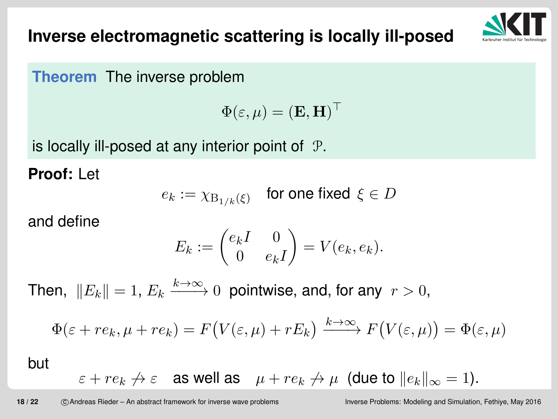



**Theorem** The inverse problem

$$
\Phi(\varepsilon,\mu)=({\bf E},{\bf H})^\top
$$

is locally ill-posed at any interior point of  $\,$   $\mathcal{P}.$ 

**Proof:** Let

$$
e_k := \chi_{\mathrm{B}_{1/k}(\xi)} \quad \text{for one fixed } \xi \in D
$$

and define

$$
E_k := \begin{pmatrix} e_k I & 0 \\ 0 & e_k I \end{pmatrix} = V(e_k, e_k).
$$

Then,  $\|E_k\| = 1, \, E_k$  $k{\rightarrow}\infty$  $\rightarrow \rightarrow 0$  pointwise, and, for any  $r > 0$ ,

$$
\Phi(\varepsilon + re_k, \mu + re_k) = F(V(\varepsilon, \mu) + rE_k) \xrightarrow{k \to \infty} F(V(\varepsilon, \mu)) = \Phi(\varepsilon, \mu)
$$

but

 $\varepsilon+re_k \nrightarrow \varepsilon$  as well as  $\|\mu+re_k \nrightarrow \mu$  (due to  $\|e_k\|_\infty$  $_{\infty} = 1$ ).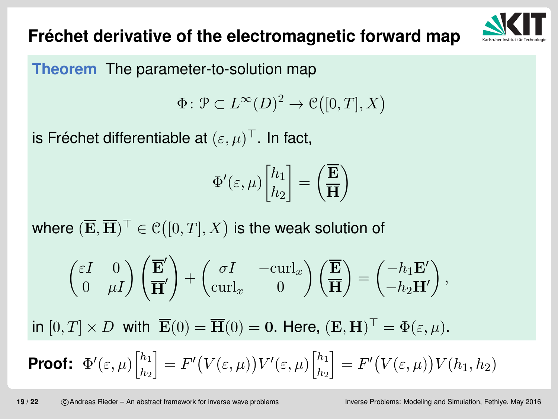# **Frechet derivative of the electromagnetic forward map ´**



**Theorem** The parameter-to-solution map

$$
\Phi \colon \mathcal{P} \subset L^{\infty}(D)^2 \to \mathcal{C}([0,T],X)
$$

is Fréchet differentiable at  $(\varepsilon, \mu)^\top.$  In fact,

$$
\Phi'(\varepsilon,\mu) {h_1\brack h_2}={\Big(\overline{\mathbf{H}}\Big)}
$$

where  $(\overline{\mathbf{E}},\overline{\mathbf{H}})^\top\in \mathcal{C}\big([0,T],X\big)$  is the weak solution of

$$
\begin{pmatrix} \varepsilon I & 0 \\ 0 & \mu I \end{pmatrix} \begin{pmatrix} \overline{\mathbf{E}}' \\ \overline{\mathbf{H}}' \end{pmatrix} + \begin{pmatrix} \sigma I & -\operatorname{curl}_x \\ \operatorname{curl}_x & 0 \end{pmatrix} \begin{pmatrix} \overline{\mathbf{E}} \\ \overline{\mathbf{H}} \end{pmatrix} = \begin{pmatrix} -h_1 \mathbf{E}' \\ -h_2 \mathbf{H}' \end{pmatrix},
$$

in  $[0, T] \times D$  with  $\overline{\mathbf{E}}(0) = \overline{\mathbf{H}}(0) = \mathbf{0}$ . Here,  $(\mathbf{E}, \mathbf{H})^{\top} = \Phi(\varepsilon, \mu)$ .

**Proof:** 
$$
\Phi'(\varepsilon,\mu) \left[\begin{matrix} h_1 \\ h_2 \end{matrix}\right] = F'\big(V(\varepsilon,\mu)\big)V'(\varepsilon,\mu) \left[\begin{matrix} h_1 \\ h_2 \end{matrix}\right] = F'\big(V(\varepsilon,\mu)\big)V(h_1,h_2)
$$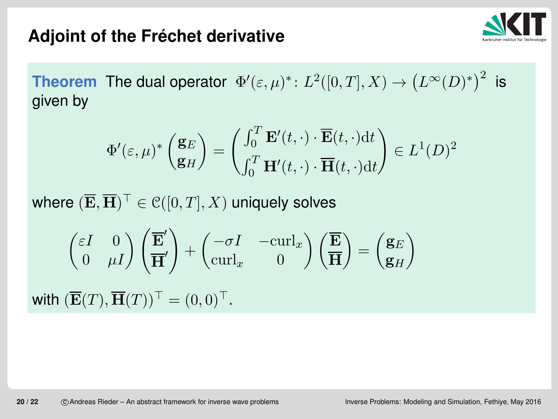

# **Adjoint of the Frechet derivative ´**

**Theorem** The dual operator  $\Phi'(\varepsilon,\mu)^*: L^2([0,T],X) \to (L^{\infty}(D)^*)^2$  is given by

$$
\Phi'(\varepsilon,\mu)^* \begin{pmatrix} \mathbf{g}_E \\ \mathbf{g}_H \end{pmatrix} = \begin{pmatrix} \int_0^T \mathbf{E}'(t,\cdot) \cdot \overline{\mathbf{E}}(t,\cdot) \mathrm{d}t \\ \int_0^T \mathbf{H}'(t,\cdot) \cdot \overline{\mathbf{H}}(t,\cdot) \mathrm{d}t \end{pmatrix} \in L^1(D)^2
$$

where  $(\overline{\mathbf{E}},\overline{\mathbf{H}})^\top\in \mathcal{C}([0,T],X)$  uniquely solves

$$
\begin{pmatrix} \varepsilon I & 0 \\ 0 & \mu I \end{pmatrix} \begin{pmatrix} \overline{\mathbf{E}}' \\ \overline{\mathbf{H}}' \end{pmatrix} + \begin{pmatrix} -\sigma I & -\operatorname{curl}_x \\ \operatorname{curl}_x & 0 \end{pmatrix} \begin{pmatrix} \overline{\mathbf{E}} \\ \overline{\mathbf{H}} \end{pmatrix} = \begin{pmatrix} \mathbf{g}_E \\ \mathbf{g}_H \end{pmatrix}
$$
  
with  $(\overline{\mathbf{E}}(T), \overline{\mathbf{H}}(T))^{\top} = (0, 0)^{\top}$ .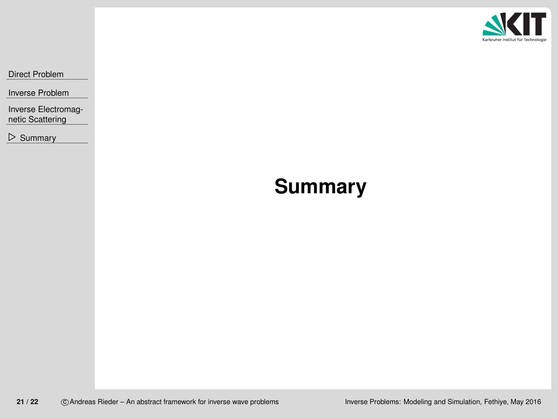

<span id="page-20-0"></span>Direct [Problem](#page-2-0)

Inverse [Problem](#page-9-0)

Inverse [Electromag](#page-14-0)netic Scattering

⊲ [Summary](#page-20-0)

## **Summary**